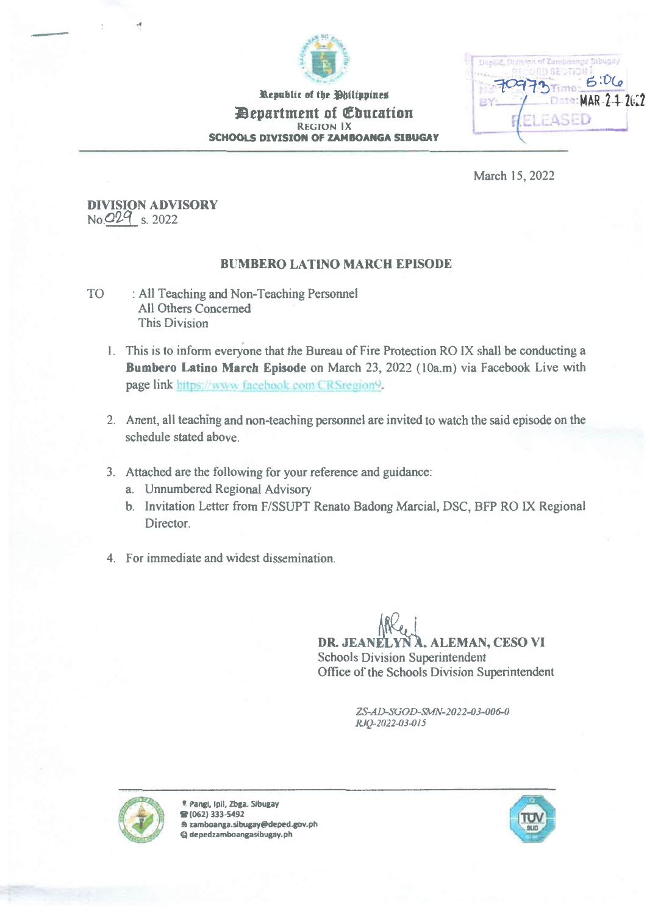

Republic of the Philippines *Department of Churation* REGION IX SCHOOLS DIVISION OF ZAMBOANGA SIBUGAY

ge Sibugay  $5:06$ MAR 2-1-2022 r

March 15, 2022

## DIVISION ADVISORY No. 029 s. 2022

## BUMBERO LATINO MARCH EPISODE

- TO : All Teaching and Non-Teaching Personnel All Others Concerned This Division
	- 1. This is to inform everyone that the Bureau of Fire Protection RO IX shall be conducting a Bumbero Latino March Episode on March 23, 2022 (10a.m) via Facebook Live with page link https://www.facebook.com/CRSregion9.
	- 2. Anent, all teaching and non-teaching personnel are invited to watch the said episode on the schedule stated above.
	- 3. Attached are the following for your reference and guidance:
		- a. Unnumbered Regional Advisory
		- b. Invitation Letter from F/SSUPT Renato Badong Marcial, DSC, BFP RO IX Regional Director.
	- 4. For immediate and widest dissemination.

DR. JEANELYN A. ALEMAN, CESO VI Schools Division Superintendent Office of the Schools Division Superintendent

> ZS-AD-SGOD-SMN-2022-03-006-0 RV-2022-03-015



9. Pangi, Ipil, Zbga. Sibugay It (062) 333-5492 zamboanga.sibugayfadeped.gov.ph  $@$  depedzamboangasibugay.ph

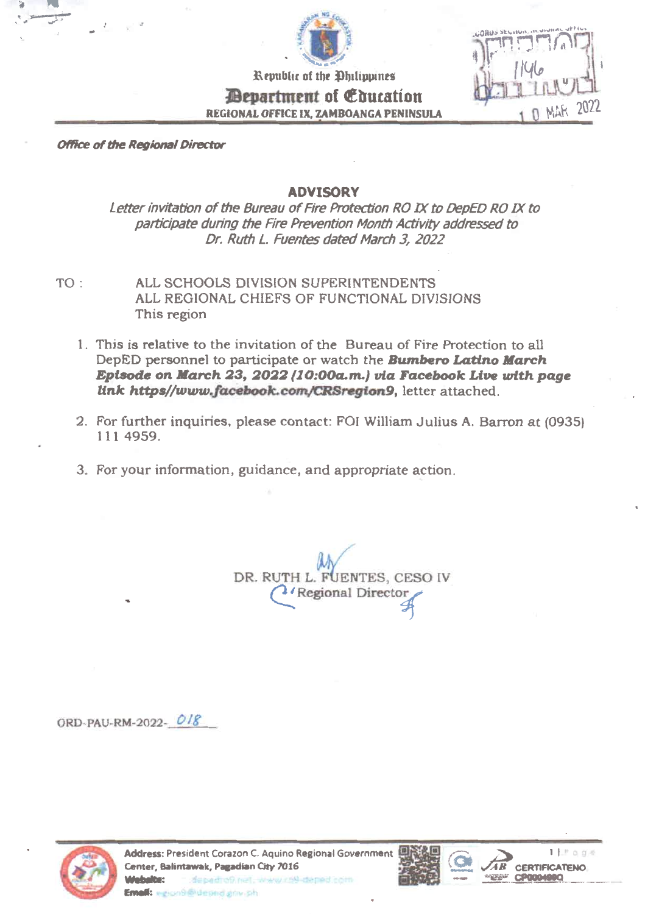

Republic of the Philippines *<u>Department</u>* of *Education* REGIONAL OFFICE IX, ZAMBOANGA PENINSULA



Office of the Regional Director

4

## ADVISORY

Letter invitation of the Bureau of Fire Protection RO IX to DepED RO IX to participate during the Fire Prevention Month Activity addressed to Dr. Ruth L. Fuentes dated March 3, 2022

- TO: ALL SCHOOLS DIVISION SUPERINTENDENTS ALL REGIONAL CHIEFS OF FUNCTIONAL DIVISIONS This region
	- I. This is relative to the invitation of the Bureau of Fire Protection to all DepED personnel to participate or watch the **Bumbero Latino March** Episode on March 23,2022 (10:00a.m.) via Facebook Live with page link https//www.facebook.com/CRSregion9, letter attached.
	- 2. For further inquiries, please contact: FOI William Julius A. Barron at (0935) 111 4959.
	- 3. For your information, guidance, and appropriate action.

DR. RUTH L. FUENTES, CESO IV <sup>2</sup>/Regional Director

ORD-PAU-RM-2022-



Address: President Corazon C. Aquino Regional Government Center, Balintawak, Pagadian City 7016 ViNtbelte: Email: egion9@depad.grav.ph